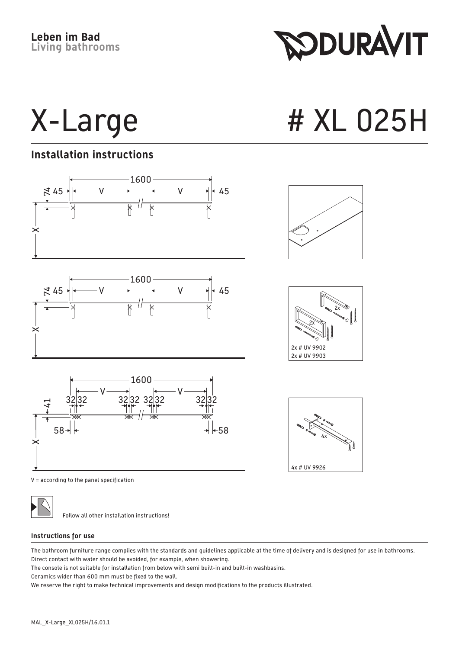**SODURAVIT** 

X-Large # XL 025H

## **Installation instructions**



V = according to the panel specification



Follow all other installation instructions!

## **Instructions for use**

The bathroom furniture range complies with the standards and guidelines applicable at the time of delivery and is designed for use in bathrooms. Direct contact with water should be avoided, for example, when showering.

The console is not suitable for installation from below with semi built-in and built-in washbasins.

Ceramics wider than 600 mm must be fixed to the wall.

We reserve the right to make technical improvements and design modifications to the products illustrated.